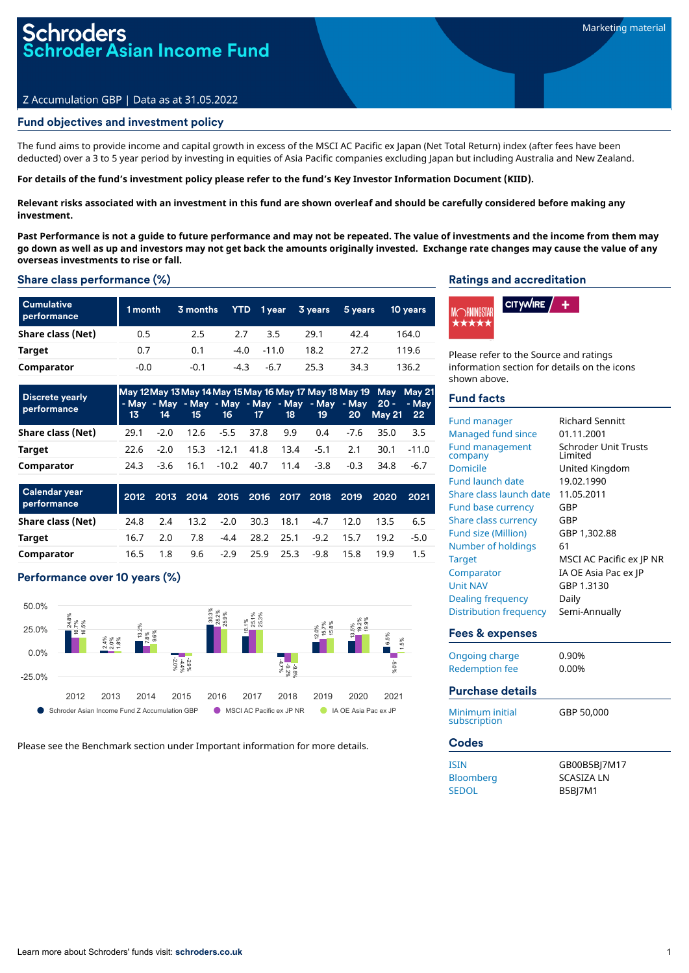# Z Accumulation GBP | Data as at 31.05.2022

# Fund objectives and investment policy

The fund aims to provide income and capital growth in excess of the MSCI AC Pacific ex Japan (Net Total Return) index (after fees have been deducted) over a 3 to 5 year period by investing in equities of Asia Pacific companies excluding Japan but including Australia and New Zealand.

For details of the fund's investment policy please refer to the fund's Key Investor Information Document (KIID).

Relevant risks associated with an investment in this fund are shown overleaf and should be carefully considered before making any **investment.**

Past Performance is not a quide to future performance and may not be repeated. The value of investments and the income from them may go down as well as up and investors may not get back the amounts originally invested. Exchange rate changes may cause the value of any **overseas investments to rise or fall.**

# Share class performance (%)

| <b>Cumulative</b><br>performance | 1 month | 3 months         | <b>YTD</b> | 1 year       | 3 years | 5 years | <b>10 years</b> |
|----------------------------------|---------|------------------|------------|--------------|---------|---------|-----------------|
| Share class (Net)                | 0.5     | $2.5\phantom{0}$ | 2.7        | 3.5          | 29.1    | 42.4    | 164.0           |
| Target                           | 0.7     | 0.1              |            | $-4.0 -11.0$ | 18.2    | 27.2    | 119.6           |
| Comparator                       | $-0.0$  | $-0.1$           | $-4.3$     | $-6.7$       | 25.3    | 34.3    | 136.2           |

| <b>Discrete yearly</b><br>performance |      | 13 14  |      |                 |                     |                | 15 16 17 18 19 |        | May 12 May 13 May 14 May 15 May 16 May 17 May 18 May 19 May May 21<br>- May - May - May - May - May - May - May - May 20 - - May<br>20 May 21 22 |         |
|---------------------------------------|------|--------|------|-----------------|---------------------|----------------|----------------|--------|--------------------------------------------------------------------------------------------------------------------------------------------------|---------|
| Share class (Net)                     | 29.1 | $-2.0$ |      |                 | 12.6 - 5.5 37.8 9.9 |                | 0.4            |        | $-7.6$ 35.0                                                                                                                                      | 3.5     |
| Target                                | 22.6 | $-2.0$ |      | 15.3 -12.1 41.8 |                     |                | 13.4 - 5.1     | 2.1    | 30.1                                                                                                                                             | $-11.0$ |
| Comparator                            | 24.3 | -3.6   | 16.1 | $-10.2$         |                     | 40.7 11.4 -3.8 |                | $-0.3$ | 34.8                                                                                                                                             | -6.7    |

| Calendar year<br>performance |      |     |     |                      |        | 2012 2013 2014 2015 2016 2017 2018 2019 | 2020 | 2021 |
|------------------------------|------|-----|-----|----------------------|--------|-----------------------------------------|------|------|
| Share class (Net)            | 24.8 | 2.4 |     | 13.2 -2.0 30.3 18.1  | $-4.7$ | 12.0                                    | 13.5 | 6.5  |
| Target                       | 16.7 | 2 O | 7.8 |                      |        | $-4.4$ 28.2 25.1 $-9.2$ 15.7            | 19.2 | -50  |
| Comparator                   | 16.5 | 1.8 | 9.6 | $-2.9$ $25.9$ $25.3$ | -9.8   | 15.8                                    | 19.9 | 15   |

# Performance over 10 years (%)



Please see the Benchmark section under Important information for more details.

# Ratings and accreditation



Please refer to the Source and ratings information section for details on the icons shown above.

# Fund facts

| <b>Fund manager</b><br><b>Managed fund since</b><br><b>Fund management</b><br>company<br>Domicile<br><b>Fund launch date</b><br>Share class launch date<br><b>Fund base currency</b><br><b>Share class currency</b><br><b>Fund size (Million)</b><br>Number of holdings<br><b>Target</b><br>Comparator<br><b>Unit NAV</b><br><b>Dealing frequency</b><br><b>Distribution frequency</b> | <b>Richard Sennitt</b><br>01.11.2001<br>Schroder Unit Trusts<br>I imited<br>United Kingdom<br>19.02.1990<br>11.05.2011<br>GBP<br>GBP<br>GBP 1,302.88<br>61<br>MSCI AC Pacific ex JP NR<br>IA OE Asia Pac ex IP<br>GBP 1.3130<br>Daily<br>Semi-Annually |
|----------------------------------------------------------------------------------------------------------------------------------------------------------------------------------------------------------------------------------------------------------------------------------------------------------------------------------------------------------------------------------------|--------------------------------------------------------------------------------------------------------------------------------------------------------------------------------------------------------------------------------------------------------|
| <b>Fees &amp; expenses</b><br><b>Ongoing charge</b>                                                                                                                                                                                                                                                                                                                                    | 0.90%                                                                                                                                                                                                                                                  |
| <b>Redemption fee</b>                                                                                                                                                                                                                                                                                                                                                                  | 0.00%                                                                                                                                                                                                                                                  |
| <b>Purchase details</b>                                                                                                                                                                                                                                                                                                                                                                |                                                                                                                                                                                                                                                        |
| Minimum initial<br>subscription                                                                                                                                                                                                                                                                                                                                                        | GBP 50,000                                                                                                                                                                                                                                             |
| <b>Codes</b>                                                                                                                                                                                                                                                                                                                                                                           |                                                                                                                                                                                                                                                        |
| <b>ISIN</b>                                                                                                                                                                                                                                                                                                                                                                            | GB00B5BI7M17                                                                                                                                                                                                                                           |
| Bloomberg                                                                                                                                                                                                                                                                                                                                                                              | SCASIZA I N                                                                                                                                                                                                                                            |
| <b>SEDOL</b>                                                                                                                                                                                                                                                                                                                                                                           | <b>B5BJ7M1</b>                                                                                                                                                                                                                                         |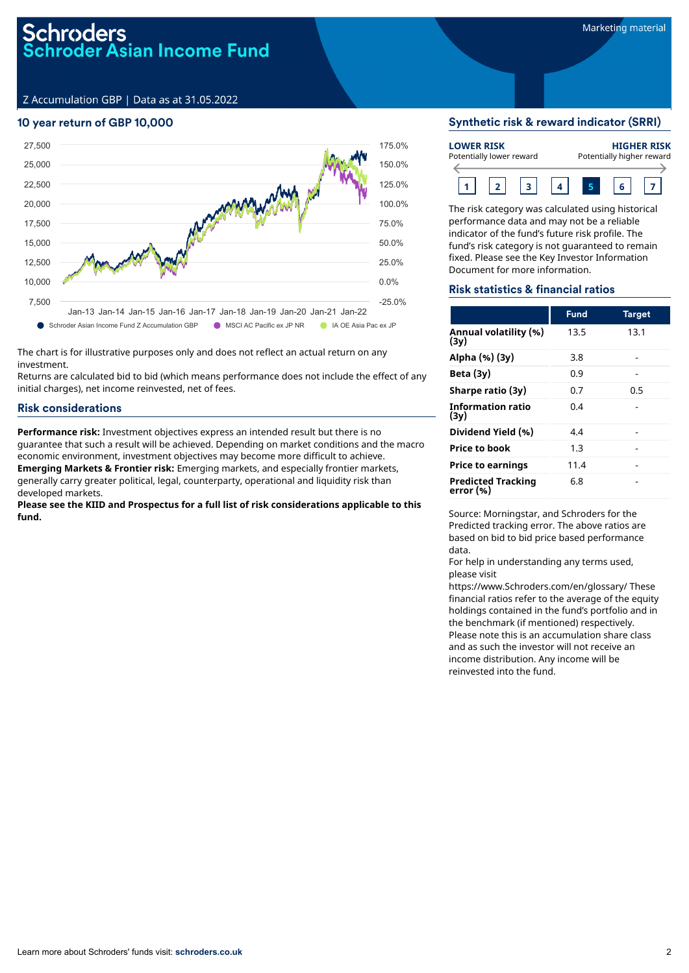Z Accumulation GBP | Data as at 31.05.2022

# 10 year return of GBP 10,000



The chart is for illustrative purposes only and does not reflect an actual return on any investment.

Returns are calculated bid to bid (which means performance does not include the effect of any initial charges), net income reinvested, net of fees.

# Risk considerations

**Performance risk:** Investment objectives express an intended result but there is no guarantee that such a result will be achieved. Depending on market conditions and the macro economic environment, investment objectives may become more difficult to achieve. **Emerging Markets & Frontier risk:** Emerging markets, and especially frontier markets, generally carry greater political, legal, counterparty, operational and liquidity risk than developed markets.

**Please see the KIID and Prospectus for a full list of risk considerations applicable to this fund.**

#### Synthetic risk & reward indicator (SRRI)

| <b>LOWER RISK</b><br>Potentially lower reward |  |  |  |  | <b>HIGHER RISK</b><br>Potentially higher reward |
|-----------------------------------------------|--|--|--|--|-------------------------------------------------|
|                                               |  |  |  |  |                                                 |

The risk category was calculated using historical performance data and may not be a reliable indicator of the fund's future risk profile. The fund's risk category is not guaranteed to remain fixed. Please see the Key Investor Information Document for more information.

#### Risk statistics & financial ratios

|                                        | <b>Fund</b> | <b>Target</b> |
|----------------------------------------|-------------|---------------|
| Annual volatility (%)<br>(3y)          | 13.5        | 13.1          |
| Alpha (%) (3y)                         | 3.8         |               |
| Beta $(3y)$                            | 0.9         |               |
| Sharpe ratio (3y)                      | 0.7         | 0.5           |
| <b>Information ratio</b><br>(3y)       | 0.4         |               |
| Dividend Yield (%)                     | 4.4         |               |
| <b>Price to book</b>                   | 1.3         |               |
| <b>Price to earnings</b>               | 11.4        |               |
| <b>Predicted Tracking</b><br>error (%) | 6.8         |               |

Source: Morningstar, and Schroders for the Predicted tracking error. The above ratios are based on bid to bid price based performance data.

For help in understanding any terms used, please visit

https://www.Schroders.com/en/glossary/ These financial ratios refer to the average of the equity holdings contained in the fund's portfolio and in the benchmark (if mentioned) respectively. Please note this is an accumulation share class and as such the investor will not receive an income distribution. Any income will be reinvested into the fund.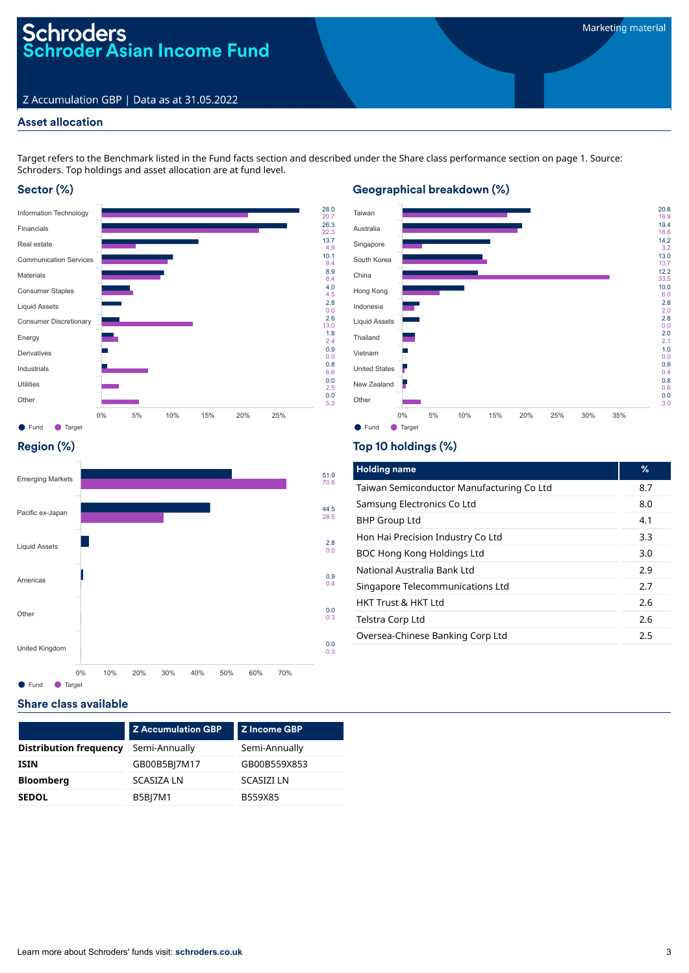# Schroders<br>Schroder Asian Income Fund

# Z Accumulation GBP | Data as at 31.05.2022

# Asset allocation

Target refers to the Benchmark listed in the Fund facts section and described under the Share class performance section on page 1. Source: Schroders. Top holdings and asset allocation are at fund level.

# Sector (%)





# Region (%)



# Top 10 holdings (%)

| <b>Holding name</b>                       | %   |
|-------------------------------------------|-----|
| Taiwan Semiconductor Manufacturing Co Ltd | 8.7 |
| Samsung Electronics Co Ltd                | 8.0 |
| <b>BHP Group Ltd</b>                      | 4.1 |
| Hon Hai Precision Industry Co Ltd         | 3.3 |
| BOC Hong Kong Holdings Ltd                | 3.0 |
| National Australia Bank Ltd               | 2.9 |
| Singapore Telecommunications Ltd          | 2.7 |
| <b>HKT Trust &amp; HKT Ltd</b>            | 2.6 |
| Telstra Corp Ltd                          | 2.6 |
| Oversea-Chinese Banking Corp Ltd          | 2.5 |

# Share class available

|                               | <b>Z Accumulation GBP</b> | Z Income GBP     |
|-------------------------------|---------------------------|------------------|
| <b>Distribution frequency</b> | Semi-Annually             | Semi-Annually    |
| <b>ISIN</b>                   | GB00B5BJ7M17              | GB00B559X853     |
| <b>Bloomberg</b>              | <b>SCASIZA LN</b>         | <b>SCASIZILN</b> |
| <b>SEDOL</b>                  | <b>B5BJ7M1</b>            | B559X85          |